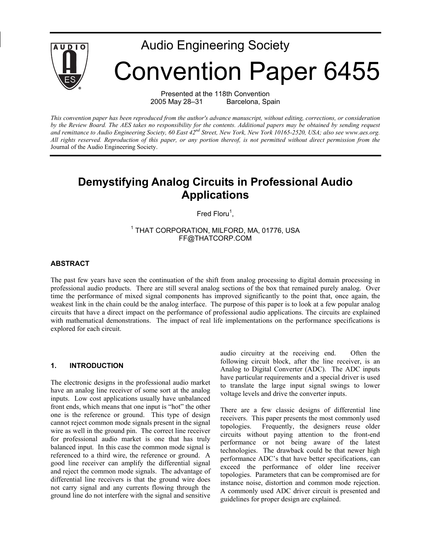

# Audio Engineering Society Convention Paper 6455

Presented at the 118th Convention 2005 May 28–31 Barcelona, Spain

*This convention paper has been reproduced from the author's advance manuscript, without editing, corrections, or consideration by the Review Board. The AES takes no responsibility for the contents. Additional papers may be obtained by sending request and remittance to Audio Engineering Society, 60 East 42nd Street, New York, New York 10165-2520, USA; also see www.aes.org. All rights reserved. Reproduction of this paper, or any portion thereof, is not permitted without direct permission from the* Journal of the Audio Engineering Society.

# **Demystifying Analog Circuits in Professional Audio Applications**

Fred Floru<sup>1</sup>,

1 THAT CORPORATION, MILFORD, MA, 01776, USA FF@THATCORP.COM

#### **ABSTRACT**

The past few years have seen the continuation of the shift from analog processing to digital domain processing in professional audio products. There are still several analog sections of the box that remained purely analog. Over time the performance of mixed signal components has improved significantly to the point that, once again, the weakest link in the chain could be the analog interface. The purpose of this paper is to look at a few popular analog circuits that have a direct impact on the performance of professional audio applications. The circuits are explained with mathematical demonstrations. The impact of real life implementations on the performance specifications is explored for each circuit.

#### **1. INTRODUCTION**

The electronic designs in the professional audio market have an analog line receiver of some sort at the analog inputs. Low cost applications usually have unbalanced front ends, which means that one input is "hot" the other one is the reference or ground. This type of design cannot reject common mode signals present in the signal wire as well in the ground pin. The correct line receiver for professional audio market is one that has truly balanced input. In this case the common mode signal is referenced to a third wire, the reference or ground. A good line receiver can amplify the differential signal and reject the common mode signals. The advantage of differential line receivers is that the ground wire does not carry signal and any currents flowing through the ground line do not interfere with the signal and sensitive audio circuitry at the receiving end. Often the following circuit block, after the line receiver, is an Analog to Digital Converter (ADC). The ADC inputs have particular requirements and a special driver is used to translate the large input signal swings to lower voltage levels and drive the converter inputs.

There are a few classic designs of differential line receivers. This paper presents the most commonly used topologies. Frequently, the designers reuse older circuits without paying attention to the front-end performance or not being aware of the latest technologies. The drawback could be that newer high performance ADC's that have better specifications, can exceed the performance of older line receiver topologies. Parameters that can be compromised are for instance noise, distortion and common mode rejection. A commonly used ADC driver circuit is presented and guidelines for proper design are explained.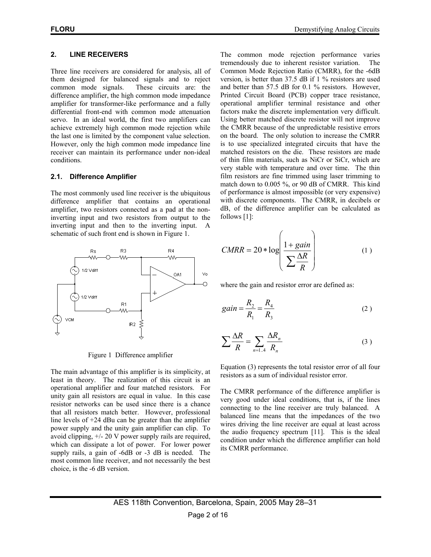## **2. LINE RECEIVERS**

Three line receivers are considered for analysis, all of them designed for balanced signals and to reject common mode signals. These circuits are: the difference amplifier, the high common mode impedance amplifier for transformer-like performance and a fully differential front-end with common mode attenuation servo. In an ideal world, the first two amplifiers can achieve extremely high common mode rejection while the last one is limited by the component value selection. However, only the high common mode impedance line receiver can maintain its performance under non-ideal conditions.

#### **2.1. Difference Amplifier**

The most commonly used line receiver is the ubiquitous difference amplifier that contains an operational amplifier, two resistors connected as a pad at the noninverting input and two resistors from output to the inverting input and then to the inverting input. A schematic of such front end is shown in Figure 1.



Figure 1 Difference amplifier

The main advantage of this amplifier is its simplicity, at least in theory. The realization of this circuit is an operational amplifier and four matched resistors. For unity gain all resistors are equal in value. In this case resistor networks can be used since there is a chance that all resistors match better. However, professional line levels of +24 dBu can be greater than the amplifier power supply and the unity gain amplifier can clip. To avoid clipping, +/- 20 V power supply rails are required, which can dissipate a lot of power. For lower power supply rails, a gain of -6dB or -3 dB is needed. The most common line receiver, and not necessarily the best choice, is the -6 dB version.

The common mode rejection performance varies tremendously due to inherent resistor variation. The Common Mode Rejection Ratio (CMRR), for the -6dB version, is better than 37.5 dB if 1 % resistors are used and better than 57.5 dB for 0.1 % resistors. However, Printed Circuit Board (PCB) copper trace resistance, operational amplifier terminal resistance and other factors make the discrete implementation very difficult. Using better matched discrete resistor will not improve the CMRR because of the unpredictable resistive errors on the board. The only solution to increase the CMRR is to use specialized integrated circuits that have the matched resistors on the die. These resistors are made of thin film materials, such as NiCr or SiCr, which are very stable with temperature and over time. The thin film resistors are fine trimmed using laser trimming to match down to 0.005 %, or 90 dB of CMRR. This kind of performance is almost impossible (or very expensive) with discrete components. The CMRR, in decibels or dB, of the difference amplifier can be calculated as follows [1]:

$$
CMRR = 20 * \log \left( \frac{1 + gain}{\sum \frac{\Delta R}{R}} \right) \tag{1}
$$

where the gain and resistor error are defined as:

$$
gain = \frac{R_2}{R_1} = \frac{R_4}{R_3}
$$
 (2)

$$
\sum \frac{\Delta R}{R} = \sum_{n=1..4} \frac{\Delta R_n}{R_n} \tag{3}
$$

Equation (3) represents the total resistor error of all four resistors as a sum of individual resistor error.

The CMRR performance of the difference amplifier is very good under ideal conditions, that is, if the lines connecting to the line receiver are truly balanced. A balanced line means that the impedances of the two wires driving the line receiver are equal at least across the audio frequency spectrum [11]. This is the ideal condition under which the difference amplifier can hold its CMRR performance.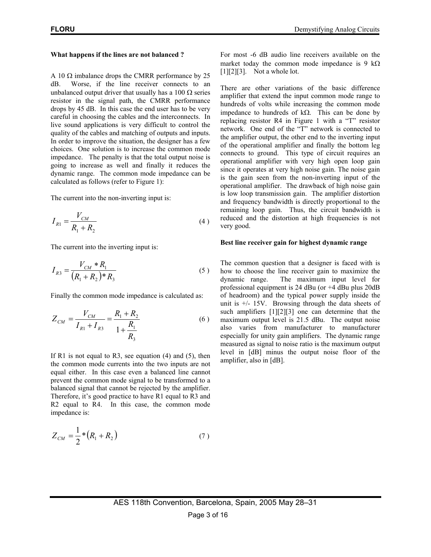#### **What happens if the lines are not balanced ?**

A 10  $\Omega$  imbalance drops the CMRR performance by 25 dB. Worse, if the line receiver connects to an unbalanced output driver that usually has a 100  $\Omega$  series resistor in the signal path, the CMRR performance drops by 45 dB. In this case the end user has to be very careful in choosing the cables and the interconnects. In live sound applications is very difficult to control the quality of the cables and matching of outputs and inputs. In order to improve the situation, the designer has a few choices. One solution is to increase the common mode impedance. The penalty is that the total output noise is going to increase as well and finally it reduces the dynamic range. The common mode impedance can be calculated as follows (refer to Figure 1):

The current into the non-inverting input is:

$$
I_{R1} = \frac{V_{CM}}{R_1 + R_2}
$$
 (4)

The current into the inverting input is:

$$
I_{R3} = \frac{V_{CM} * R_1}{(R_1 + R_2)^* R_3}
$$
 (5)

Finally the common mode impedance is calculated as:

$$
Z_{CM} = \frac{V_{CM}}{I_{R1} + I_{R3}} = \frac{R_1 + R_2}{1 + \frac{R_1}{R_3}}
$$
(6)

If R1 is not equal to R3, see equation  $(4)$  and  $(5)$ , then the common mode currents into the two inputs are not equal either. In this case even a balanced line cannot prevent the common mode signal to be transformed to a balanced signal that cannot be rejected by the amplifier. Therefore, it's good practice to have R1 equal to R3 and R2 equal to R4. In this case, the common mode impedance is:

$$
Z_{CM} = \frac{1}{2} * (R_1 + R_2) \tag{7}
$$

For most -6 dB audio line receivers available on the market today the common mode impedance is 9 k $\Omega$  $[1][2][3]$ . Not a whole lot.

There are other variations of the basic difference amplifier that extend the input common mode range to hundreds of volts while increasing the common mode impedance to hundreds of kΩ. This can be done by replacing resistor R4 in Figure 1 with a "T" resistor network. One end of the "T" network is connected to the amplifier output, the other end to the inverting input of the operational amplifier and finally the bottom leg connects to ground. This type of circuit requires an operational amplifier with very high open loop gain since it operates at very high noise gain. The noise gain is the gain seen from the non-inverting input of the operational amplifier. The drawback of high noise gain is low loop transmission gain. The amplifier distortion and frequency bandwidth is directly proportional to the remaining loop gain. Thus, the circuit bandwidth is reduced and the distortion at high frequencies is not very good.

#### **Best line receiver gain for highest dynamic range**

The common question that a designer is faced with is how to choose the line receiver gain to maximize the dynamic range. The maximum input level for professional equipment is 24 dBu (or +4 dBu plus 20dB of headroom) and the typical power supply inside the unit is  $\pm$ /- 15V. Browsing through the data sheets of such amplifiers [1][2][3] one can determine that the maximum output level is 21.5 dBu. The output noise also varies from manufacturer to manufacturer especially for unity gain amplifiers. The dynamic range measured as signal to noise ratio is the maximum output level in [dB] minus the output noise floor of the amplifier, also in [dB].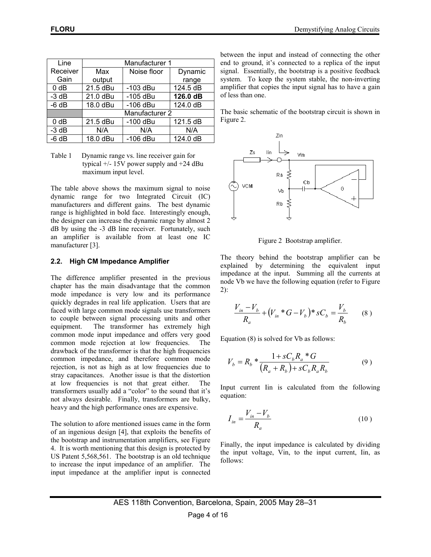| Line             | Manufacturer 1 |             |          |  |
|------------------|----------------|-------------|----------|--|
| Receiver         | Max            | Noise floor | Dynamic  |  |
| Gain             | output         |             | range    |  |
| $0$ dB           | 21.5 dBu       | $-103$ dBu  | 124.5 dB |  |
| $-3$ dB          | 21.0 dBu       | $-105$ dBu  | 126.0 dB |  |
| $-6 dB$          | 18.0 dBu       | $-106$ dBu  | 124.0 dB |  |
|                  | Manufacturer 2 |             |          |  |
| 0 <sub>d</sub> B | 21.5 dBu       | $-100$ dBu  | 121.5 dB |  |
| $-3$ dB          | N/A            | N/A         | N/A      |  |
| $-6 dB$          | 18.0 dBu       | $-106$ dBu  | 124.0 dB |  |

Table 1 Dynamic range vs. line receiver gain for typical  $+/- 15V$  power supply and  $+24$  dBu maximum input level.

The table above shows the maximum signal to noise dynamic range for two Integrated Circuit (IC) manufacturers and different gains. The best dynamic range is highlighted in bold face. Interestingly enough, the designer can increase the dynamic range by almost 2 dB by using the -3 dB line receiver. Fortunately, such an amplifier is available from at least one IC manufacturer [3].

## **2.2. High CM Impedance Amplifier**

The difference amplifier presented in the previous chapter has the main disadvantage that the common mode impedance is very low and its performance quickly degrades in real life application. Users that are faced with large common mode signals use transformers to couple between signal processing units and other equipment. The transformer has extremely high common mode input impedance and offers very good common mode rejection at low frequencies. The drawback of the transformer is that the high frequencies common impedance, and therefore common mode rejection, is not as high as at low frequencies due to stray capacitances. Another issue is that the distortion at low frequencies is not that great either. The transformers usually add a "color" to the sound that it's not always desirable. Finally, transformers are bulky, heavy and the high performance ones are expensive.

The solution to afore mentioned issues came in the form of an ingenious design [4], that exploits the benefits of the bootstrap and instrumentation amplifiers, see Figure 4. It is worth mentioning that this design is protected by US Patent 5,568,561. The bootstrap is an old technique to increase the input impedance of an amplifier. The input impedance at the amplifier input is connected between the input and instead of connecting the other end to ground, it's connected to a replica of the input signal. Essentially, the bootstrap is a positive feedback system. To keep the system stable, the non-inverting amplifier that copies the input signal has to have a gain of less than one.

The basic schematic of the bootstrap circuit is shown in Figure 2.



Figure 2 Bootstrap amplifier.

The theory behind the bootstrap amplifier can be explained by determining the equivalent input impedance at the input. Summing all the currents at node Vb we have the following equation (refer to Figure 2):

$$
\frac{V_{in} - V_b}{R_a} + (V_{in} * G - V_b) * sC_b = \frac{V_b}{R_b}
$$
 (8)

Equation (8) is solved for Vb as follows:

$$
V_b = R_b * \frac{1 + sC_b R_a * G}{(R_a + R_b) + sC_b R_a R_b}
$$
(9)

Input current Iin is calculated from the following equation:

$$
I_{in} = \frac{V_{in} - V_b}{R_a} \tag{10}
$$

Finally, the input impedance is calculated by dividing the input voltage, Vin, to the input current, Iin, as follows: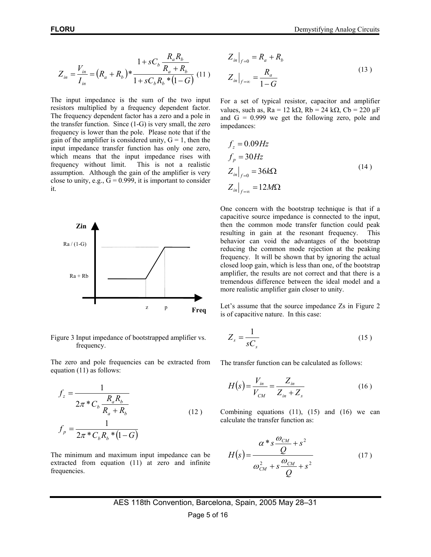$$
Z_{in} = \frac{V_{in}}{I_{in}} = (R_a + R_b)^* \frac{1 + sC_b \frac{R_a R_b}{R_a + R_b}}{1 + sC_b R_b * (1 - G)} (11)
$$

The input impedance is the sum of the two input resistors multiplied by a frequency dependent factor. The frequency dependent factor has a zero and a pole in the transfer function. Since (1-G) is very small, the zero frequency is lower than the pole. Please note that if the gain of the amplifier is considered unity,  $G = 1$ , then the input impedance transfer function has only one zero, which means that the input impedance rises with frequency without limit. This is not a realistic assumption. Although the gain of the amplifier is very close to unity, e.g.,  $G = 0.999$ , it is important to consider it.



Figure 3 Input impedance of bootstrapped amplifier vs. frequency.

The zero and pole frequencies can be extracted from equation (11) as follows:

$$
f_z = \frac{1}{2\pi \cdot C_b \frac{R_a R_b}{R_a + R_b}}
$$
  

$$
f_p = \frac{1}{2\pi \cdot C_b R_b \cdot (1 - G)}
$$
 (12)

The minimum and maximum input impedance can be extracted from equation (11) at zero and infinite frequencies.

π

$$
Z_{in}|_{f=0} = R_a + R_b
$$
  

$$
Z_{in}|_{f=\infty} = \frac{R_a}{1 - G}
$$
 (13)

For a set of typical resistor, capacitor and amplifier values, such as,  $Ra = 12 k\Omega$ ,  $Rb = 24 k\Omega$ ,  $Cb = 220 \mu F$ and  $G = 0.999$  we get the following zero, pole and impedances:

$$
f_z = 0.09Hz
$$
  
\n
$$
f_p = 30Hz
$$
  
\n
$$
Z_{in}|_{f=0} = 36k\Omega
$$
  
\n
$$
Z_{in}|_{f=\infty} = 12M\Omega
$$
\n(14)

One concern with the bootstrap technique is that if a capacitive source impedance is connected to the input, then the common mode transfer function could peak resulting in gain at the resonant frequency. This behavior can void the advantages of the bootstrap reducing the common mode rejection at the peaking frequency. It will be shown that by ignoring the actual closed loop gain, which is less than one, of the bootstrap amplifier, the results are not correct and that there is a tremendous difference between the ideal model and a more realistic amplifier gain closer to unity.

Let's assume that the source impedance Zs in Figure 2 is of capacitive nature. In this case:

$$
Z_s = \frac{1}{sC_s} \tag{15}
$$

The transfer function can be calculated as follows:

$$
H(s) = \frac{V_{in}}{V_{CM}} = \frac{Z_{in}}{Z_{in} + Z_s}
$$
 (16)

Combining equations (11), (15) and (16) we can calculate the transfer function as:

$$
H(s) = \frac{\alpha * s \frac{\omega_{CM}}{Q} + s^2}{\omega_{CM}^2 + s \frac{\omega_{CM}}{Q} + s^2}
$$
(17)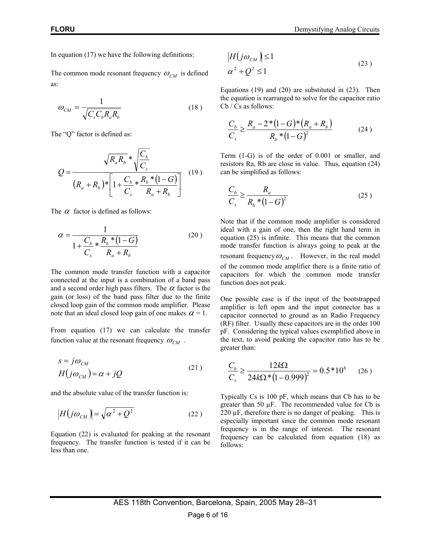In equation (17) we have the following definitions:

The common mode resonant frequency  $\omega_{CM}$  is defined as:

$$
\omega_{CM} = \frac{1}{\sqrt{C_s C_b R_a R_b}}
$$
(18)

The "Q" factor is defined as:

$$
Q = \frac{\sqrt{R_a R_b} * \sqrt{\frac{C_b}{C_s}}}{(R_a + R_b) * \left[1 + \frac{C_b}{C_s} * \frac{R_b * (1 - G)}{R_a + R_b}\right]} \quad (19)
$$

The  $\alpha$  factor is defined as follows:

$$
\alpha = \frac{1}{1 + \frac{C_b}{C_s} * \frac{R_b * (1 - G)}{R_a + R_b}}
$$
(20)

The common mode transfer function with a capacitor connected at the input is a combination of a band pass and a second order high pass filters. The  $\alpha$  factor is the gain (or loss) of the band pass filter due to the finite closed loop gain of the common mode amplifier. Please note that an ideal closed loop gain of one makes  $\alpha = 1$ .

From equation (17) we can calculate the transfer function value at the resonant frequency  $\omega_{CM}$ .

$$
s = j\omega_{CM}
$$
  
 
$$
H(j\omega_{CM}) = \alpha + jQ
$$
 (21)

and the absolute value of the transfer function is:

$$
|H(j\omega_{CM})| = \sqrt{\alpha^2 + Q^2}
$$
 (22)

Equation (22) is evaluated for peaking at the resonant frequency. The transfer function is tested if it can be less than one.

$$
|H(j\omega_{CM})| \le 1
$$
  
\n
$$
\alpha^2 + Q^2 \le 1
$$
\n(23)

Equations (19) and (20) are substituted in (23). Then the equation is rearranged to solve for the capacitor ratio Cb / Cs as follows:

$$
\frac{C_b}{C_s} \ge \frac{R_a - 2 \cdot (1 - G) \cdot (R_a + R_b)}{R_b \cdot (1 - G)^2}
$$
\n(24)

Term (1-G) is of the order of 0.001 or smaller, and resistors Ra, Rb are close in value. Thus, equation (24) can be simplified as follows:

$$
\frac{C_b}{C_s} \ge \frac{R_a}{R_b * (1 - G)^2} \tag{25}
$$

Note that if the common mode amplifier is considered ideal with a gain of one, then the right hand term in equation (25) is infinite. This means that the common mode transfer function is always going to peak at the resonant frequency  $\omega_{CM}$ . However, in the real model of the common mode amplifier there is a finite ratio of capacitors for which the common mode transfer function does not peak.

One possible case is if the input of the bootstrapped amplifier is left open and the input connector has a capacitor connected to ground as an Radio Frequency (RF) filter. Usually these capacitors are in the order 100 pF. Considering the typical values exemplified above in the text, to avoid peaking the capacitor ratio has to be greater than:

$$
\frac{C_b}{C_s} \ge \frac{12k\Omega}{24k\Omega^* (1 - 0.999)^2} = 0.5*10^6 \qquad (26)
$$

Typically Cs is 100 pF, which means that Cb has to be greater than 50  $\mu$ F. The recommended value for Cb is  $220 \mu$ F, therefore there is no danger of peaking. This is especially important since the common mode resonant frequency is in the range of interest. The resonant frequency can be calculated from equation (18) as follows: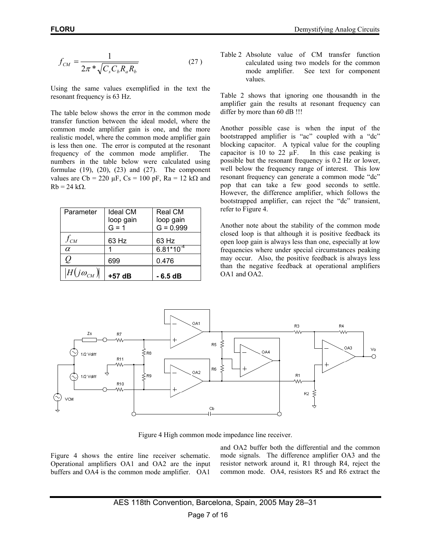$$
f_{CM} = \frac{1}{2\pi \sqrt[4]{C_s C_b R_a R_b}}
$$
 (27)

Using the same values exemplified in the text the resonant frequency is 63 Hz.

The table below shows the error in the common mode transfer function between the ideal model, where the common mode amplifier gain is one, and the more realistic model, where the common mode amplifier gain is less then one. The error is computed at the resonant frequency of the common mode amplifier. The numbers in the table below were calculated using formulae  $(19)$ ,  $(20)$ ,  $(23)$  and  $(27)$ . The component values are Cb = 220  $\mu$ F, Cs = 100 pF, Ra = 12 kΩ and  $Rb = 24 k\Omega$ .

| Parameter           | <b>Ideal CM</b> | Real CM        |  |
|---------------------|-----------------|----------------|--|
|                     | loop gain       | loop gain      |  |
|                     | $G = 1$         | $G = 0.999$    |  |
| $f_{CM}$            | 63 Hz           | 63 Hz          |  |
| $\alpha$            |                 | $6.81*10^{-4}$ |  |
| $\overline{Q}$      | 699             | 0.476          |  |
| $ H(j\omega_{CM}) $ | $+57$ dB        | $-6.5dB$       |  |

Table 2 Absolute value of CM transfer function calculated using two models for the common mode amplifier. See text for component values.

Table 2 shows that ignoring one thousandth in the amplifier gain the results at resonant frequency can differ by more than 60 dB !!!

Another possible case is when the input of the bootstrapped amplifier is "ac" coupled with a "dc" blocking capacitor. A typical value for the coupling capacitor is 10 to 22  $\mu$ F. In this case peaking is possible but the resonant frequency is 0.2 Hz or lower, well below the frequency range of interest. This low resonant frequency can generate a common mode "dc" pop that can take a few good seconds to settle. However, the difference amplifier, which follows the bootstrapped amplifier, can reject the "dc" transient, refer to Figure 4.

Another note about the stability of the common mode closed loop is that although it is positive feedback its open loop gain is always less than one, especially at low frequencies where under special circumstances peaking may occur. Also, the positive feedback is always less than the negative feedback at operational amplifiers OA1 and OA2.



Figure 4 High common mode impedance line receiver.

Figure 4 shows the entire line receiver schematic. Operational amplifiers OA1 and OA2 are the input buffers and OA4 is the common mode amplifier. OA1

and OA2 buffer both the differential and the common mode signals. The difference amplifier OA3 and the resistor network around it, R1 through R4, reject the common mode. OA4, resistors R5 and R6 extract the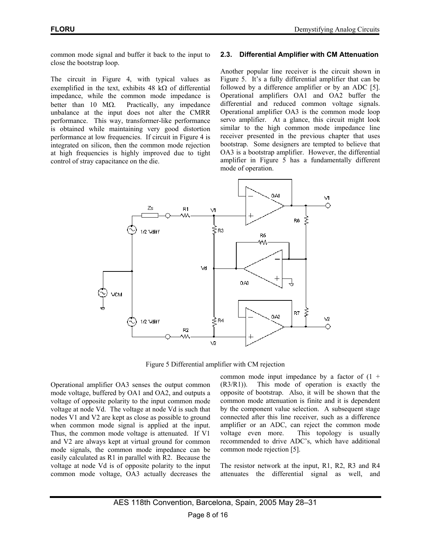common mode signal and buffer it back to the input to close the bootstrap loop.

The circuit in Figure 4, with typical values as exemplified in the text, exhibits 48 kΩ of differential impedance, while the common mode impedance is better than 10 MΩ. Practically, any impedance unbalance at the input does not alter the CMRR performance. This way, transformer-like performance is obtained while maintaining very good distortion performance at low frequencies. If circuit in Figure 4 is integrated on silicon, then the common mode rejection at high frequencies is highly improved due to tight control of stray capacitance on the die.

#### **2.3. Differential Amplifier with CM Attenuation**

Another popular line receiver is the circuit shown in Figure 5. It's a fully differential amplifier that can be followed by a difference amplifier or by an ADC [5]. Operational amplifiers OA1 and OA2 buffer the differential and reduced common voltage signals. Operational amplifier OA3 is the common mode loop servo amplifier. At a glance, this circuit might look similar to the high common mode impedance line receiver presented in the previous chapter that uses bootstrap. Some designers are tempted to believe that OA3 is a bootstrap amplifier. However, the differential amplifier in Figure 5 has a fundamentally different mode of operation.



Figure 5 Differential amplifier with CM rejection

Operational amplifier OA3 senses the output common mode voltage, buffered by OA1 and OA2, and outputs a voltage of opposite polarity to the input common mode voltage at node Vd. The voltage at node Vd is such that nodes V1 and V2 are kept as close as possible to ground when common mode signal is applied at the input. Thus, the common mode voltage is attenuated. If V1 and V2 are always kept at virtual ground for common mode signals, the common mode impedance can be easily calculated as R1 in parallel with R2. Because the voltage at node Vd is of opposite polarity to the input common mode voltage, OA3 actually decreases the common mode input impedance by a factor of  $(1 +$ (R3/R1)). This mode of operation is exactly the opposite of bootstrap. Also, it will be shown that the common mode attenuation is finite and it is dependent by the component value selection. A subsequent stage connected after this line receiver, such as a difference amplifier or an ADC, can reject the common mode voltage even more. This topology is usually recommended to drive ADC's, which have additional common mode rejection [5].

The resistor network at the input, R1, R2, R3 and R4 attenuates the differential signal as well, and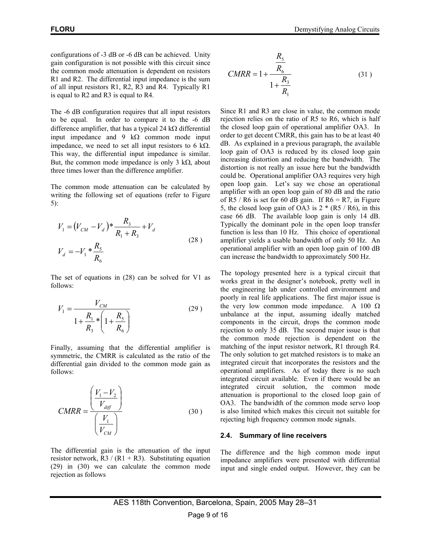configurations of -3 dB or -6 dB can be achieved. Unity gain configuration is not possible with this circuit since the common mode attenuation is dependent on resistors R1 and R2. The differential input impedance is the sum of all input resistors R1, R2, R3 and R4. Typically R1 is equal to R2 and R3 is equal to R4.

The -6 dB configuration requires that all input resistors to be equal. In order to compare it to the -6 dB difference amplifier, that has a typical 24 kΩ differential input impedance and 9 k $\Omega$  common mode input impedance, we need to set all input resistors to 6 kΩ. This way, the differential input impedance is similar. But, the common mode impedance is only 3 k $\Omega$ , about three times lower than the difference amplifier.

The common mode attenuation can be calculated by writing the following set of equations (refer to Figure 5):

$$
V_1 = (V_{CM} - V_d) * \frac{R_3}{R_1 + R_3} + V_d
$$
  
\n
$$
V_d = -V_1 * \frac{R_5}{R_6}
$$
\n(28)

The set of equations in (28) can be solved for V1 as follows:

$$
V_1 = \frac{V_{CM}}{1 + \frac{R_1}{R_3} * \left(1 + \frac{R_5}{R_6}\right)}
$$
(29)

Finally, assuming that the differential amplifier is symmetric, the CMRR is calculated as the ratio of the differential gain divided to the common mode gain as follows:

$$
CMRR = \frac{\left(\frac{V_1 - V_2}{V_{diff}}\right)}{\left(\frac{V_1}{V_{CM}}\right)}
$$
\n(30)

The differential gain is the attenuation of the input resistor network,  $R3 / (R1 + R3)$ . Substituting equation (29) in (30) we can calculate the common mode rejection as follows

$$
CMRR = 1 + \frac{\frac{R_5}{R_6}}{1 + \frac{R_3}{R_1}}
$$
 (31)

Since R1 and R3 are close in value, the common mode rejection relies on the ratio of R5 to R6, which is half the closed loop gain of operational amplifier OA3. In order to get decent CMRR, this gain has to be at least 40 dB. As explained in a previous paragraph, the available loop gain of OA3 is reduced by its closed loop gain increasing distortion and reducing the bandwidth. The distortion is not really an issue here but the bandwidth could be. Operational amplifier OA3 requires very high open loop gain. Let's say we chose an operational amplifier with an open loop gain of 80 dB and the ratio of R5 / R6 is set for 60 dB gain. If  $R6 = R7$ , in Figure 5, the closed loop gain of OA3 is  $2 * (R5 / R6)$ , in this case 66 dB. The available loop gain is only 14 dB. Typically the dominant pole in the open loop transfer function is less than 10 Hz. This choice of operational amplifier yields a usable bandwidth of only 50 Hz. An operational amplifier with an open loop gain of 100 dB can increase the bandwidth to approximately 500 Hz.

The topology presented here is a typical circuit that works great in the designer's notebook, pretty well in the engineering lab under controlled environment and poorly in real life applications. The first major issue is the very low common mode impedance. A 100  $\Omega$ unbalance at the input, assuming ideally matched components in the circuit, drops the common mode rejection to only 35 dB. The second major issue is that the common mode rejection is dependent on the matching of the input resistor network, R1 through R4. The only solution to get matched resistors is to make an integrated circuit that incorporates the resistors and the operational amplifiers. As of today there is no such integrated circuit available. Even if there would be an integrated circuit solution, the common mode attenuation is proportional to the closed loop gain of OA3. The bandwidth of the common mode servo loop is also limited which makes this circuit not suitable for rejecting high frequency common mode signals.

#### **2.4. Summary of line receivers**

The difference and the high common mode input impedance amplifiers were presented with differential input and single ended output. However, they can be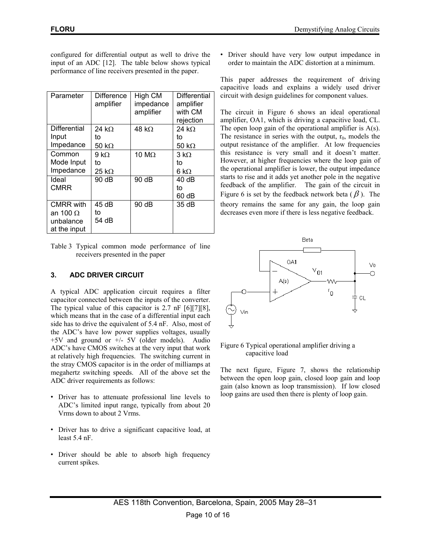configured for differential output as well to drive the input of an ADC [12]. The table below shows typical performance of line receivers presented in the paper.

| Parameter          | <b>Difference</b><br>amplifier | High CM<br>impedance<br>amplifier | <b>Differential</b><br>amplifier<br>with CM<br>rejection |
|--------------------|--------------------------------|-----------------------------------|----------------------------------------------------------|
| Differential       | 24 kQ                          | 48 k $\Omega$                     | 24 k $\Omega$                                            |
| Input<br>Impedance | to<br>50 k $\Omega$            |                                   | to                                                       |
|                    |                                |                                   | 50 k $\Omega$                                            |
| Common             | 9 k.O                          | 10 M $\Omega$                     | $3 \text{ k}\Omega$                                      |
| Mode Input         | to                             |                                   | to                                                       |
| Impedance          | $25 k\Omega$                   |                                   | 6 k $\Omega$                                             |
| Ideal              | 90 dB                          | 90 dB                             | 40dB                                                     |
| <b>CMRR</b>        |                                |                                   | t٥                                                       |
|                    |                                |                                   | 60 dB                                                    |
| <b>CMRR</b> with   | 45 dB                          | 90 dB                             | 35 dB                                                    |
| an 100 $\Omega$    | to                             |                                   |                                                          |
| unbalance          | 54 dB                          |                                   |                                                          |
| at the input       |                                |                                   |                                                          |

Table 3 Typical common mode performance of line receivers presented in the paper

# **3. ADC DRIVER CIRCUIT**

A typical ADC application circuit requires a filter capacitor connected between the inputs of the converter. The typical value of this capacitor is 2.7 nF [6][7][8], which means that in the case of a differential input each side has to drive the equivalent of 5.4 nF. Also, most of the ADC's have low power supplies voltages, usually +5V and ground or +/- 5V (older models). Audio ADC's have CMOS switches at the very input that work at relatively high frequencies. The switching current in the stray CMOS capacitor is in the order of milliamps at megahertz switching speeds. All of the above set the ADC driver requirements as follows:

- Driver has to attenuate professional line levels to ADC's limited input range, typically from about 20 Vrms down to about 2 Vrms.
- Driver has to drive a significant capacitive load, at least 5.4 nF.
- Driver should be able to absorb high frequency current spikes.

• Driver should have very low output impedance in order to maintain the ADC distortion at a minimum.

This paper addresses the requirement of driving capacitive loads and explains a widely used driver circuit with design guidelines for component values.

The circuit in Figure 6 shows an ideal operational amplifier, OA1, which is driving a capacitive load, CL. The open loop gain of the operational amplifier is A(s). The resistance in series with the output,  $r_0$ , models the output resistance of the amplifier. At low frequencies this resistance is very small and it doesn't matter. However, at higher frequencies where the loop gain of the operational amplifier is lower, the output impedance starts to rise and it adds yet another pole in the negative feedback of the amplifier. The gain of the circuit in Figure 6 is set by the feedback network beta  $(\beta)$ . The theory remains the same for any gain, the loop gain decreases even more if there is less negative feedback.



#### Figure 6 Typical operational amplifier driving a capacitive load

The next figure, Figure 7, shows the relationship between the open loop gain, closed loop gain and loop gain (also known as loop transmission). If low closed loop gains are used then there is plenty of loop gain.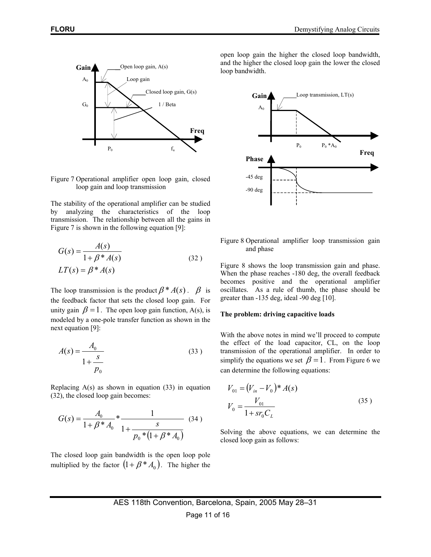

Figure 7 Operational amplifier open loop gain, closed loop gain and loop transmission

The stability of the operational amplifier can be studied by analyzing the characteristics of the loop transmission. The relationship between all the gains in Figure 7 is shown in the following equation [9]:

$$
G(s) = \frac{A(s)}{1 + \beta * A(s)}
$$
  
\n
$$
LT(s) = \beta * A(s)
$$
\n(32)

The loop transmission is the product  $\beta^* A(s)$ .  $\beta$  is the feedback factor that sets the closed loop gain. For unity gain  $\beta = 1$ . The open loop gain function, A(s), is modeled by a one-pole transfer function as shown in the next equation [9]:

$$
A(s) = \frac{A_0}{1 + \frac{s}{p_0}}
$$
 (33)

Replacing  $A(s)$  as shown in equation (33) in equation (32), the closed loop gain becomes:

$$
G(s) = \frac{A_0}{1 + \beta * A_0} * \frac{1}{1 + \frac{s}{p_0 * (1 + \beta * A_0)}} \tag{34}
$$

The closed loop gain bandwidth is the open loop pole multiplied by the factor  $(1 + \beta * A_0)$ . The higher the open loop gain the higher the closed loop bandwidth, and the higher the closed loop gain the lower the closed loop bandwidth.



Figure 8 Operational amplifier loop transmission gain and phase

Figure 8 shows the loop transmission gain and phase. When the phase reaches -180 deg, the overall feedback becomes positive and the operational amplifier oscillates. As a rule of thumb, the phase should be greater than -135 deg, ideal -90 deg [10].

#### **The problem: driving capacitive loads**

With the above notes in mind we'll proceed to compute the effect of the load capacitor, CL, on the loop transmission of the operational amplifier. In order to simplify the equations we set  $\beta = 1$ . From Figure 6 we can determine the following equations:

$$
V_{01} = (V_{in} - V_0)^* A(s)
$$
  

$$
V_0 = \frac{V_{01}}{1 + sr_0 C_L}
$$
 (35)

Solving the above equations, we can determine the closed loop gain as follows: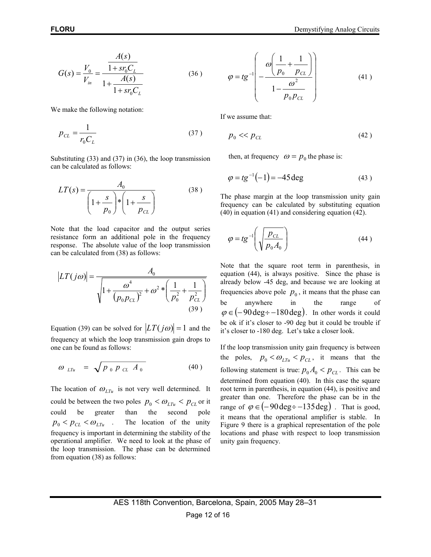$$
G(s) = \frac{V_0}{V_{in}} = \frac{\frac{A(s)}{1 + s r_0 C_L}}{1 + \frac{A(s)}{1 + s r_0 C_L}}
$$
(36)

We make the following notation:

$$
p_{CL} = \frac{1}{r_0 C_L} \tag{37}
$$

Substituting (33) and (37) in (36), the loop transmission can be calculated as follows:

$$
LT(s) = \frac{A_0}{\left(1 + \frac{s}{p_0}\right) * \left(1 + \frac{s}{p_{CL}}\right)}
$$
(38)

Note that the load capacitor and the output series resistance form an additional pole in the frequency response. The absolute value of the loop transmission can be calculated from (38) as follows:

$$
|LT(j\omega)| = \frac{A_0}{\sqrt{1 + \frac{\omega^4}{(p_0 p_{CL})^2} + \omega^2 * \left(\frac{1}{p_0^2} + \frac{1}{p_{CL}^2}\right)}}
$$
(39)

Equation (39) can be solved for  $|LT(j\omega)| = 1$  and the frequency at which the loop transmission gain drops to one can be found as follows:

$$
\omega_{LTu} = \sqrt{p_0 p_{CL} A_0}
$$
 (40)

The location of  $\omega_{LTu}$  is not very well determined. It could be between the two poles  $p_0 < \omega_{LT_u} < p_{CL}$  or it could be greater than the second pole  $p_0 < p_{CL} < \omega_{LTu}$  . The location of the unity frequency is important in determining the stability of the operational amplifier. We need to look at the phase of the loop transmission. The phase can be determined from equation (38) as follows:

$$
\varphi = tg^{-1} \left( -\frac{\omega \left( \frac{1}{p_0} + \frac{1}{p_{CL}} \right)}{1 - \frac{\omega^2}{p_0 p_{CL}}} \right) \tag{41}
$$

If we assume that:

$$
p_{0} \ll p_{CL} \tag{42}
$$

then, at frequency  $\omega = p_0$  the phase is:

$$
\varphi = tg^{-1}(-1) = -45 \deg \tag{43}
$$

The phase margin at the loop transmission unity gain frequency can be calculated by substituting equation (40) in equation (41) and considering equation (42).

$$
\varphi = t g^{-1} \left( \sqrt{\frac{p_{CL}}{p_0 A_0}} \right) \tag{44}
$$

Note that the square root term in parenthesis, in equation (44), is always positive. Since the phase is already below -45 deg, and because we are looking at frequencies above pole  $p_0$ , it means that the phase can be anywhere in the range of  $\varphi \in (-90 \text{ deg} \div -180 \text{ deg})$ . In other words it could be ok if it's closer to -90 deg but it could be trouble if it's closer to -180 deg. Let's take a closer look.

If the loop transmission unity gain frequency is between the poles,  $p_0 < \omega_{LTu} < p_{CL}$ , it means that the following statement is true:  $p_0 A_0 < p_{CL}$ . This can be determined from equation (40). In this case the square root term in parenthesis, in equation (44), is positive and greater than one. Therefore the phase can be in the range of  $\varphi \in (-90 \text{ deg} \div -135 \text{ deg})$ . That is good, it means that the operational amplifier is stable. In Figure 9 there is a graphical representation of the pole locations and phase with respect to loop transmission unity gain frequency.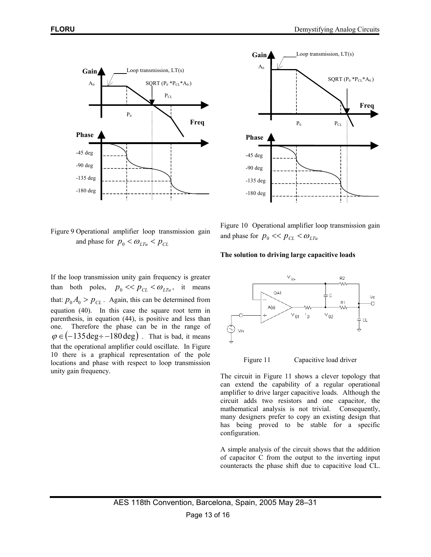

Figure 9 Operational amplifier loop transmission gain and phase for  $p_0 < \omega_{LTu} < p_{CL}$ 

If the loop transmission unity gain frequency is greater than both poles,  $p_0 \ll p_{CL} \ll \omega_{LTu}$ , it means that:  $p_0 A_0 > p_{CL}$ . Again, this can be determined from equation (40). In this case the square root term in parenthesis, in equation (44), is positive and less than one. Therefore the phase can be in the range of  $\varphi \in (-135 \text{deg} \div -180 \text{deg})$ . That is bad, it means that the operational amplifier could oscillate. In Figure 10 there is a graphical representation of the pole locations and phase with respect to loop transmission unity gain frequency.



Figure 10 Operational amplifier loop transmission gain and phase for  $p_0 \ll p_{CL} \ll \omega_{LTu}$ 

#### **The solution to driving large capacitive loads**



Figure 11 Capacitive load driver

The circuit in Figure 11 shows a clever topology that can extend the capability of a regular operational amplifier to drive larger capacitive loads. Although the circuit adds two resistors and one capacitor, the mathematical analysis is not trivial. Consequently, many designers prefer to copy an existing design that has being proved to be stable for a specific configuration.

A simple analysis of the circuit shows that the addition of capacitor C from the output to the inverting input counteracts the phase shift due to capacitive load CL.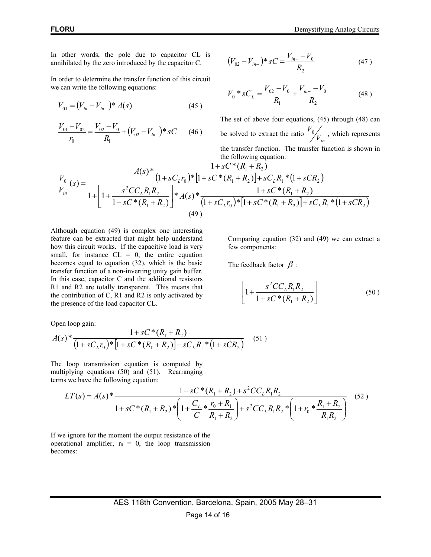In other words, the pole due to capacitor CL is annihilated by the zero introduced by the capacitor C.

In order to determine the transfer function of this circuit we can write the following equations:

$$
V_{01} = (V_{in} - V_{in-})^* A(s)
$$
 (45)

$$
\frac{V_{01} - V_{02}}{r_0} = \frac{V_{02} - V_0}{R_1} + (V_{02} - V_{in-}) \cdot SC \qquad (46)
$$

$$
(V_{02} - V_{in-}) * sC = \frac{V_{in-} - V_0}{R_2}
$$
 (47)

$$
V_0 * sC_L = \frac{V_{02} - V_0}{R_1} + \frac{V_{in} - V_0}{R_2}
$$
 (48)

The set of above four equations, (45) through (48) can be solved to extract the ratio  $\frac{V_0}{V_{in}}$ , which represents the transfer function. The transfer function is shown in the following equation:  $\alpha * \alpha$ 

$$
\frac{V_0}{V_{in}}(s) = \frac{A(s)^* \frac{1+sC^*(R_1+R_2)}{(1+sC_Lr_0)^*\left[1+sC^*(R_1+R_2)\right]+sC_LR_1*(1+sCR_2)}}{1+\left[1+\frac{s^2CC_LR_1R_2}{1+sC^*(R_1+R_2)}\right]*A(s)^*\frac{1+sC^*(R_1+R_2)}{(1+sC_Lr_0)^*\left[1+sC^*(R_1+R_2)\right]+sC_LR_1*(1+sCR_2)}}{(49)}
$$

Although equation (49) is complex one interesting feature can be extracted that might help understand how this circuit works. If the capacitive load is very small, for instance  $CL = 0$ , the entire equation becomes equal to equation (32), which is the basic transfer function of a non-inverting unity gain buffer. In this case, capacitor C and the additional resistors R1 and R2 are totally transparent. This means that the contribution of C, R1 and R2 is only activated by the presence of the load capacitor CL.

Comparing equation (32) and (49) we can extract a few components:

The feedback factor  $\beta$  :

$$
\[1 + \frac{s^2 C C_L R_1 R_2}{1 + s C^* (R_1 + R_2)}\]
$$
(50)

Open loop gain:

$$
A(s)^{*} \frac{1 + sC^{*}(R_1 + R_2)}{(1 + sC_{L}r_0)^{*}[1 + sC^{*}(R_1 + R_2)] + sC_{L}R_1^{*}(1 + sCR_2)}
$$
(51)

The loop transmission equation is computed by multiplying equations (50) and (51). Rearranging terms we have the following equation:

$$
LT(s) = A(s) * \frac{1 + sC*(R_1 + R_2) + s^2 CC_L R_1 R_2}{1 + sC*(R_1 + R_2) * \left(1 + \frac{C_L}{C} * \frac{r_0 + R_1}{R_1 + R_2}\right) + s^2 CC_L R_1 R_2 * \left(1 + r_0 * \frac{R_1 + R_2}{R_1 R_2}\right)}
$$
(52)

If we ignore for the moment the output resistance of the operational amplifier,  $r_0 = 0$ , the loop transmission becomes: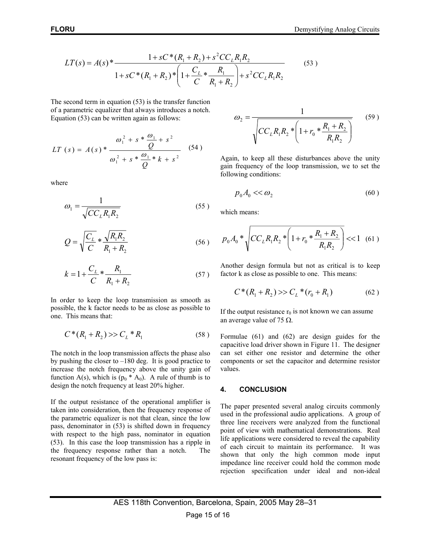$$
LT(s) = A(s) * \frac{1 + sC*(R_1 + R_2) + s^2 CC_L R_1 R_2}{1 + sC*(R_1 + R_2) * \left(1 + \frac{C_L}{C} * \frac{R_1}{R_1 + R_2}\right) + s^2 CC_L R_1 R_2}
$$
(53)

The second term in equation (53) is the transfer function of a parametric equalizer that always introduces a notch. Equation (53) can be written again as follows:

$$
LT (s) = A(s) * \frac{\omega_1^2 + s * \frac{\omega_1}{Q} + s^2}{\omega_1^2 + s * \frac{\omega_1}{Q} * k + s^2}
$$
 (54)

where

$$
\omega_1 = \frac{1}{\sqrt{CC_L R_1 R_2}}\tag{55}
$$

$$
Q = \sqrt{\frac{C_L}{C}} * \frac{\sqrt{R_1 R_2}}{R_1 + R_2}
$$
 (56)

$$
k = 1 + \frac{C_L}{C} * \frac{R_1}{R_1 + R_2}
$$
 (57)

In order to keep the loop transmission as smooth as possible, the k factor needs to be as close as possible to one. This means that:

$$
C^*(R_1 + R_2) \gg C_L^* R_1 \tag{58}
$$

The notch in the loop transmission affects the phase also by pushing the closer to –180 deg. It is good practice to increase the notch frequency above the unity gain of function A(s), which is  $(p_0 \cdot A_0)$ . A rule of thumb is to design the notch frequency at least 20% higher.

If the output resistance of the operational amplifier is taken into consideration, then the frequency response of the parametric equalizer is not that clean, since the low pass, denominator in (53) is shifted down in frequency with respect to the high pass, nominator in equation (53). In this case the loop transmission has a ripple in the frequency response rather than a notch. The resonant frequency of the low pass is:

$$
\omega_2 = \frac{1}{\sqrt{CC_L R_1 R_2 * \left(1 + r_0 * \frac{R_1 + R_2}{R_1 R_2}\right)}}
$$
(59)

Again, to keep all these disturbances above the unity gain frequency of the loop transmission, we to set the following conditions:

$$
p_0 A_0 \ll \omega_2 \tag{60}
$$

which means:

$$
p_0 A_0 * \sqrt{CC_L R_1 R_2 * \left(1 + r_0 * \frac{R_1 + R_2}{R_1 R_2}\right)} \ll 1 \quad (61)
$$

Another design formula but not as critical is to keep factor k as close as possible to one. This means:

$$
C^*(R_1 + R_2) >> C_L^*(r_0 + R_1)
$$
 (62)

If the output resistance  $r_0$  is not known we can assume an average value of 75  $Ω$ .

Formulae (61) and (62) are design guides for the capacitive load driver shown in Figure 11. The designer can set either one resistor and determine the other components or set the capacitor and determine resistor values.

#### **4. CONCLUSION**

The paper presented several analog circuits commonly used in the professional audio applications. A group of three line receivers were analyzed from the functional point of view with mathematical demonstrations. Real life applications were considered to reveal the capability of each circuit to maintain its performance. It was shown that only the high common mode input impedance line receiver could hold the common mode rejection specification under ideal and non-ideal